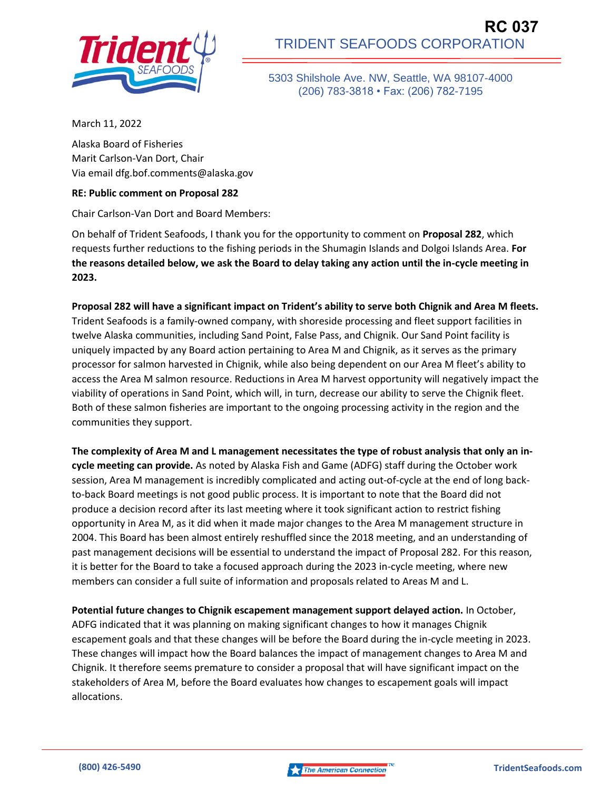

5303 Shilshole Ave. NW, Seattle, WA 98107-4000 (206) 783-3818 • Fax: (206) 782-7195

March 11, 2022

Alaska Board of Fisheries Marit Carlson-Van Dort, Chair Via email dfg.bof.comments@alaska.gov

## **RE: Public comment on Proposal 282**

Chair Carlson-Van Dort and Board Members:

On behalf of Trident Seafoods, I thank you for the opportunity to comment on **Proposal 282**, which requests further reductions to the fishing periods in the Shumagin Islands and Dolgoi Islands Area. **For the reasons detailed below, we ask the Board to delay taking any action until the in-cycle meeting in 2023.** 

**Proposal 282 will have a significant impact on Trident's ability to serve both Chignik and Area M fleets.**  Trident Seafoods is a family-owned company, with shoreside processing and fleet support facilities in twelve Alaska communities, including Sand Point, False Pass, and Chignik. Our Sand Point facility is uniquely impacted by any Board action pertaining to Area M and Chignik, as it serves as the primary processor for salmon harvested in Chignik, while also being dependent on our Area M fleet's ability to access the Area M salmon resource. Reductions in Area M harvest opportunity will negatively impact the viability of operations in Sand Point, which will, in turn, decrease our ability to serve the Chignik fleet. Both of these salmon fisheries are important to the ongoing processing activity in the region and the communities they support.

**The complexity of Area M and L management necessitates the type of robust analysis that only an incycle meeting can provide.** As noted by Alaska Fish and Game (ADFG) staff during the October work session, Area M management is incredibly complicated and acting out-of-cycle at the end of long backto-back Board meetings is not good public process. It is important to note that the Board did not produce a decision record after its last meeting where it took significant action to restrict fishing opportunity in Area M, as it did when it made major changes to the Area M management structure in 2004. This Board has been almost entirely reshuffled since the 2018 meeting, and an understanding of past management decisions will be essential to understand the impact of Proposal 282. For this reason, it is better for the Board to take a focused approach during the 2023 in-cycle meeting, where new members can consider a full suite of information and proposals related to Areas M and L.

**Potential future changes to Chignik escapement management support delayed action.** In October, ADFG indicated that it was planning on making significant changes to how it manages Chignik escapement goals and that these changes will be before the Board during the in-cycle meeting in 2023. These changes will impact how the Board balances the impact of management changes to Area M and Chignik. It therefore seems premature to consider a proposal that will have significant impact on the stakeholders of Area M, before the Board evaluates how changes to escapement goals will impact allocations.